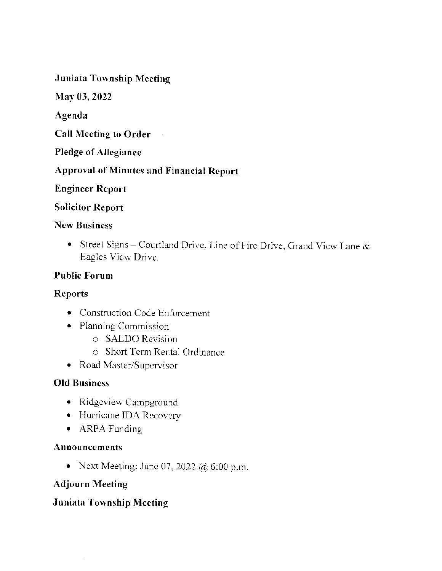**Juniata Township Meeting** 

May 03, 2022

Agenda

**Call Meeting to Order** 

**Pledge of Allegiance** 

**Approval of Minutes and Financial Report** 

**Engineer Report** 

**Solicitor Report** 

#### **New Business**

• Street Signs - Courtland Drive, Line of Fire Drive, Grand View Lane  $\&$ Eagles View Drive.

#### **Public Forum**

#### **Reports**

- Construction Code Enforcement
- Planning Commission
	- $\circ$  SALDO Revision
	- **C** Short Term Rental Ordinance
- Road Master/Supervisor

#### **Old Business**

- Ridgeview Campground
- · Hurricane IDA Recovery
- ARPA Funding

#### Announcements

• Next Meeting: June 07, 2022 @ 6:00 p.m.

#### **Adjourn Meeting**

#### **Juniata Township Meeting**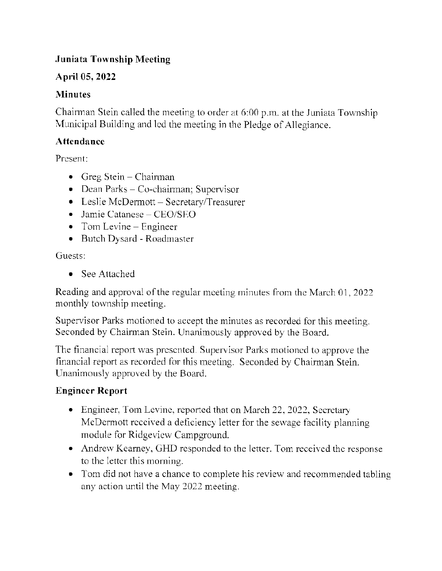#### Juniata Township Meeting

#### April 05,2022

#### **Minutes**

Chairman Stein called the meeting to order at  $6:00$  p.m. at the Juniata Township Municipal Building and led the meeting in the Pledge of Allegiance.

#### **Attendance**

Present:

- $\bullet$  Greg Stein Chairman
- Dean Parks Co-chairman; Supervisor
- Leslie McDermott Secretary/Treasurer
- $\bullet$  Jamie Catanese CEO/SEO
- $\bullet$  Tom Levine Engineer
- Butch Dysard Roadmaster

Guests:

. See Attached

Reading and approval of the regular meeting minutes from the March 01, 2022 monthly township meeting.

Supervisor Parks motioned to accept the minutes as recorded for this meeting. Seconded by Chairman Stein. Unanimously approved by the Board.

The financial report was presented. Supervisor Parks motioned to approve the financial report as recorded for this meeting. Seconded by Chairman Stein. Unanimously approved by the Board.

#### Engineer Rcport

- Engineer, Tom Levine, reported that on March 22, 2022, Secretary McDermott received a deficiency letter for the sewage facility planning. module for Ridgeview Campground.
- Andrew Kearney, GHD responded to the letter. Tom received the response to the letter this moming.
- Tom did not have a chance to complete his review and recommended tabling any action until the May 2022 meeting.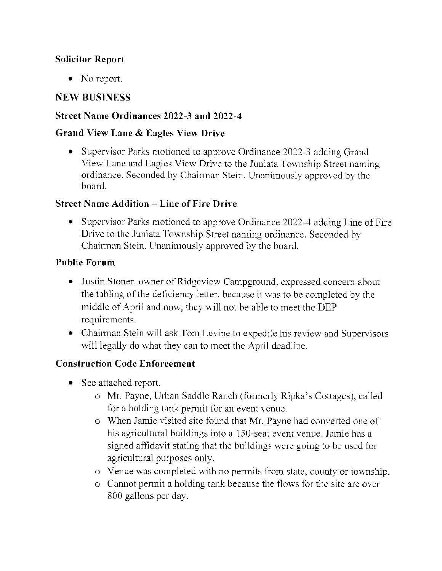#### Solicitor Report

• No report.

#### **NEW BUSINESS**

#### Street Name Ordinances 2022-3 and 2022-1

#### Grand View Lane & Eagles View Drive

• Supervisor Parks motioned to approve Ordinance 2022-3 adding Grand View Lane and Eagles View Drive to the Juniata Township Street naming. ordinance. Seconded by Chairman Stein. Unanimously approved by the board.

#### Street Name Addition - Linc of Fire Drive

• Supervisor Parks motioned to approve Ordinance 2022-4 adding Line of Fire Drive to the Juniata Township Street naming ordinance. Seconded by Chairman Stein. Unanimously approved by the board.

#### Public Forum

- Justin Stoner, owner of Ridgeview Campground, expressed concern about the tabling of the deficiency letter, because it was to be completed by the middle of April and now, they will not be able to meet the DEP requirements.
- Chairman Stein will ask Tom Levine to expedite his review and Supervisors will legally do what they can to meet the April deadline.

#### **Construction Code Enforcement**

- See attached report.
	- o Mr. Payne, Urban Saddle Ranch (formerly Ripka's Cottages), called for a holding tank permit for an event vcnue.
	- $\circ$  When Jamie visited site found that Mr. Payne had converted one of his agricultural buildings into a 150-seat event venue. Jamie has a signed affidavit stating that the buildings were going to be used for agricultural purposes only.
	- $\circ$  Venue was completed with no permits from state, county or township.
	- $\circ$  Cannot permit a holding tank because the flows for the site are over 800 gallons per day.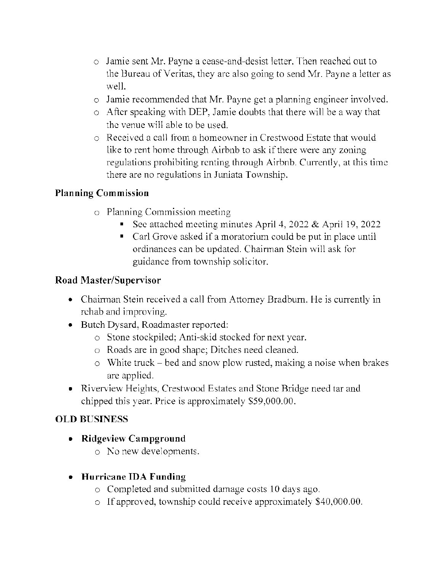- $\circ$  Jamie sent Mr. Payne a cease-and-desist letter. Then reached out to the Bureau of Veritas, they arc also going to send Mr. Payne a letter as well.
- $\circ$  Jamie recommended that Mr. Payne get a planning engineer involved.
- $\circ$  After speaking with DEP, Jamie doubts that there will be a way that. the venue will able to be used.
- $\circ$  Received a call from a homeowner in Crestwood Estate that would like to rent home through Airbnb to ask if there were any zoning regulations prohibiting rcnting through Airbnb. Currcntly, at this timc there are no regulations in Juniata Township.

#### Planning Commission

- $\circ$  Planning Commission meeting
	- See attached meeting minutes April 4, 2022 & April 19, 2022
	- Carl Grove asked if a moratorium could be put in place until ordinances can be updated. Chairman Stein will ask for guidance from township solicitor.

#### Road Master/Supervisor

- Chairman Stein received a call from Attorney Bradburn. He is currently in rchab and improving.
- Butch Dysard, Roadmaster reported:
	- $\circ$  Stone stockpiled; Anti-skid stocked for next year.
	- o Roads are in good shape; Ditches need cleaned.
	- $\circ$  White truck bed and snow plow rusted, making a noise when brakes are applied.
- Riverview Heights, Crestwood Estates and Stone Bridge need tar and chipped this year. Price is approximately \$59,000.00.

#### OLD BUSINESS

- Ridgeview Campground
	- $\circ$  No new developments.
- o Hurricane IDA Funding
	- $\circ$  Completed and submitted damage costs 10 days ago.
	- $\circ$  If approved, township could receive approximately \$40,000.00.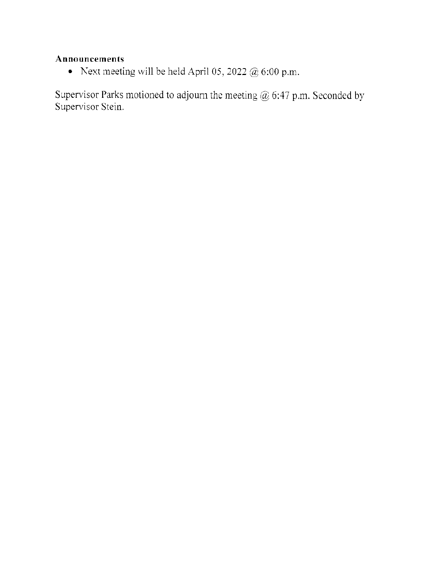#### Announcements

• Next meeting will be held April 05, 2022  $@$  6:00 p.m.

Supervisor Parks motioned to adjourn the meeting  $@$  6:47 p.m. Seconded by Supervisor Stein.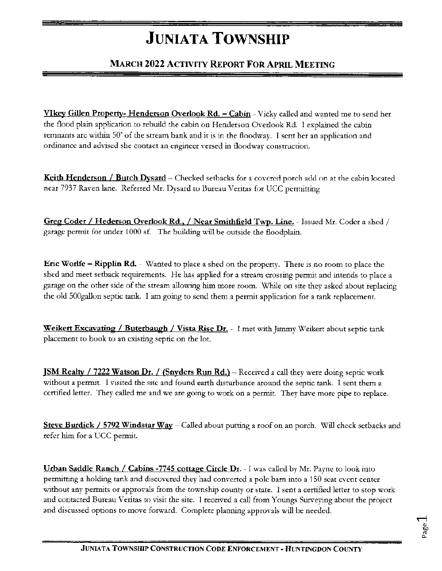## **JUNIATA TOWNSHIP**

#### **MARCH 2022 ACTIVITY REPORT FOR APRIL MEETING**

**VIkey Gillen Property- Henderson Overlook Rd. – Cabin** - Vicky called and wanted me to send her the flood plain application to rebuild the cabin on Henderson Overlook Rd. I explained the cabin remnants are within 50' of the stream bank and it is in the floodway. I sent her an application and ordinance and advised she contact an engineer versed in floodway construction.

Keith Henderson / Butch Dysard - Checked setbacks for a covered porch add on at the cabin located near 7937 Raven lane. Referred Mr. Dysard to Bureau Veritas for UCC permitting

Greg Coder / Hederson Overlook Rd., / Near Smithfield Twp. Line. - Issued Mr. Coder a shed / garage permit for under 1000 sf. The building will be outside the floodplain.

Eric Worlfe - Ripplin Rd. - Wanted to place a shed on the property. There is no room to place the shed and meet setback requirements. He has applied for a stream crossing permit and intends to place a garage on the other side of the stream allowing him more room. While on site they asked about replacing the old 500gallon septic tank. I am going to send them a permit application for a tank replacement.

Weikert Excavating / Buterbaugh / Vista Rise Dr. - I met with Jimmy Weikert about septic tank placement to hook to an existing septic on the lot.

**JSM Realty / 7222 Watson Dr. / (Snyders Run Rd.)** - Received a call they were doing septic work without a permit. I visited the site and found earth disturbance around the septic tank. I sent them a certified letter. They called me and we are going to work on a permit. They have more pipe to replace.

Steve Burdick / 5792 Windstar Way - Called about putting a roof on an porch. Will check setbacks and refer him for a UCC permit.

Urban Saddle Ranch / Cabins -7745 cottage Circle Dr. - I was called by Mr. Payne to look into permitting a holding tank and discovered they had converted a pole barn into a 150 seat event center without any permits or approvals from the township county or state. I sent a certified letter to stop work and contacted Bureau Veritas to visit the site. I received a call from Youngs Surveying about the project and discussed options to move forward. Complete planning approvals will be needed.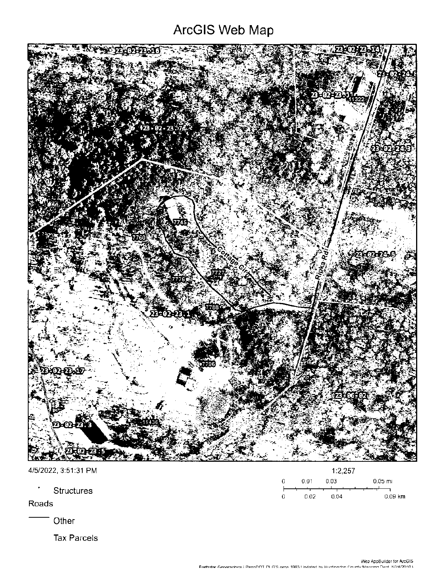### ArcGIS Web Map



| 4/5/2022, 3:51:31 PM       | 1:2,257                        |  |  |
|----------------------------|--------------------------------|--|--|
| ٠                          | $0.05$ mi<br>0.03<br>0.01<br>0 |  |  |
| <b>Structures</b><br>Roads | $0.09$ km<br>0.02<br>0.04<br>0 |  |  |
| <b>∩ther</b>               |                                |  |  |

**Tax Parcels** 

Web AppBuilder for ArcGIS<br>Farthstar Geographics i PennDOT DLG'S oirca 1993 Undated by Huntimodon County Mannipe Dent. 8/24/2010 y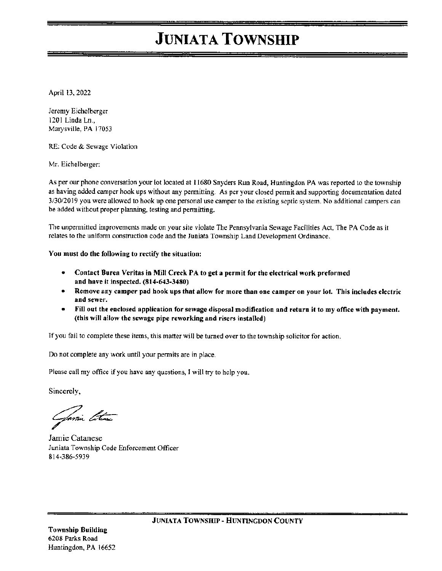### **JUNIATA TOWNSHIP**

April 13, 2022

Jeremy Eichelberger 1201 Linda Ln., Marysville, PA 17053

RE: Code & Sewage Violation

Mr. Eichelberger:

As per our phone conversation your lot located at 11680 Snyders Run Road, Huntingdon PA was reported to the township as having added camper hook ups without any permitting. As per your closed permit and supporting documentation dated 3/30/2019 you were allowed to hook up one personal use camper to the existing septic system. No additional campers can be added without proper planning, testing and permitting.

The unpermitted improvements made on your site violate The Pennsylvania Sewage Facilities Act, The PA Code as it relates to the uniform construction code and the Juniata Township Land Development Ordinance.

You must do the following to rectify the situation:

- Contact Burea Veritas in Mill Creek PA to get a permit for the electrical work preformed and have it inspected. (814-643-3480)
- Remove any camper pad hook ups that allow for more than one camper on your lot. This includes electric  $\bullet$ and sewer.
- Fill out the enclosed application for sewage disposal modification and return it to my office with payment.  $\bullet$ (this will allow the sewage pipe reworking and risers installed)

If you fail to complete these items, this matter will be turned over to the township solicitor for action.

Do not complete any work until your permits are in place.

Please call my office if you have any questions, I will try to help you.

Sincerely,

Jamie Ethne

Jamie Catanese Juniata Township Code Enforcement Officer 814-386-5939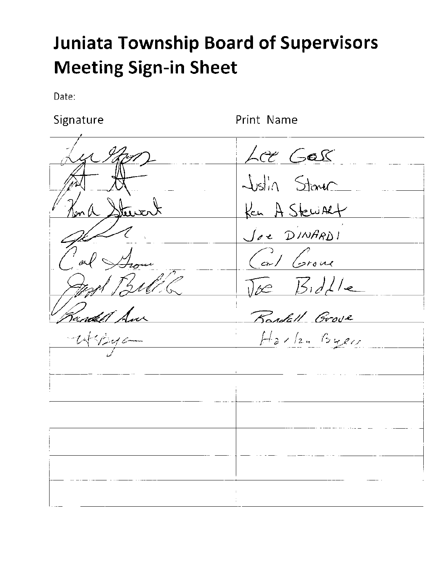# **Juniata Township Board of Supervisors Meeting Sign-in Sheet**

Date:

Signature

Print Name

Lot Gas Iktert Justin Stane Ken A Stewart  $\overline{\mathfrak{m}}$ Joe DINARDI and Grove  $\sqrt{ke}$   $\frac{B}{d}$ undel 1 Randall Grove  $H_2$ ,  $I_2$ ,  $B_4$ er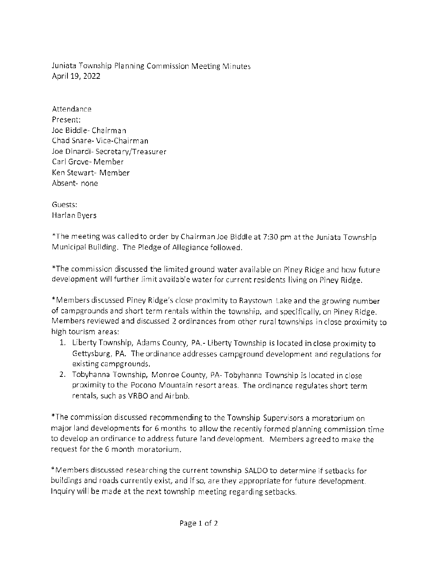luniata Township Planning Commission Meeting Minutes April 19, 2022

Attendance Present: Joe Biddle- Chairman Chad Snare- Vice-Chairman Joe Dinardi- Secretary/Treasurer CarlGrove- Member Ken Stewart-Member Absent- none

Guests: Harlan Byers

\*The meeting was called to order by Chairman Joe Biddle at 7:30 pm at the Juniata Township Municipal Building. The Pledge of Allegiance followed.

\*The commission discussed the limited ground water available on Piney Ridge and how future development will further limit available water for current residents living on Piney Ridge.

\*Members discussed Piney Ridge's close proximity to Raystown Lake and the growing number of campgrounds and short term rentals within the township, and specifically, on Piney Ridge. Members reviewed and discussed 2 ordinances from other rural townships in close proximity to high tourism areas:

- 1. LibertyTownship, Adams County, PA.- LibertyTownship is located inclose proximityto Gettysburg, PA. The ordinance addresses campground development and regulations for existing campgrounds.
- 2. Tobyhanna Township, Monroe County, PA- Tobyhanna Township is located in close proximity to the Pocono Mountain resort areas. The ordinance regulates short term rentals, such as VRBO and Airbnb.

\*The conmission discussed recommendingto the Township Supervisors a moratorium on major land developments for 6 months to allow the recently formed planning commission time to develop an ordinance to address future land development. Members agreed to make the request for the 6 month moratorium.

\*Members discussed researching the current township SALDO to determine if setbacks for buildings and roads currently exist, and if so, are they appropriate for future development. lnquiry wil be made at the next township meeting regarding setbacks.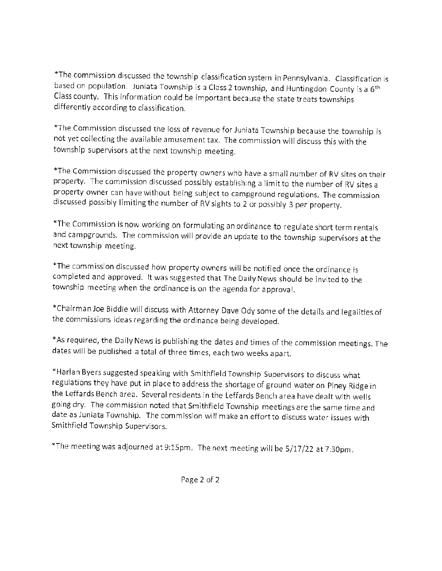\*The commission discussed the township classification system in Pennsylvania. Classification is based on population. luniata Township is a Class 2 township, and Huntingdon County is a 6th Class county. This information could be important because the state treats townships differently according to classification.

\*The Commission discussed the loss of revenue for luniata Township because the township is not yet collecting the available amusement tax. The commission will discuss this with the township supervisors at the next township meeting.

\*The Commission discussed the property owners who have a small number of RV sites on their property. The commission discussed possibly establishing a limit to the number of RV sites a property owner can have without being subject to campground regulations. The commission discussed possibly limiting the number of RV sights to 2 or possibly 3 per property.

\*The Commission is now working on formulating an ordinance to regulate short term rentals and campgrounds. The commission will provide an update to the township supervisors at the next township meeting.

\*The commission discussed how property owners wili be notified once the ordinance is completed and approved. It was suggested that The Daily News should be invited to the township meeting when the ordinance is on the agenda for approval.

\*Chairman Joe Biddle will discuss with Attorney Dave Ody some of the details and legalities of the commissions ideas regarding the ordinance being developed.

\*As required, the Daily News is publishing the dates and times of the commission meetings. The dates will be published a total of three times, each two weeks apart.

\*Harlan Byerssuggested speaking with Sr.ithfieldTownship Supervisors to discuss what regulations they have put in place to address the shortage of ground water on piney Ridge in the Leffards Bench area. Several residents in the Leffards Bench area have dealt with wells going dry. The commission noted that Smithfield Township meetings are the same time and date as Juniata Township. The commission will make an effort to discuss water issues with Smithfield Township Supervisors.

\*The meeting was adjourned at 9:15pm. The next meeting will be 5/17/22 at 7:30pm.

Page 2 of 2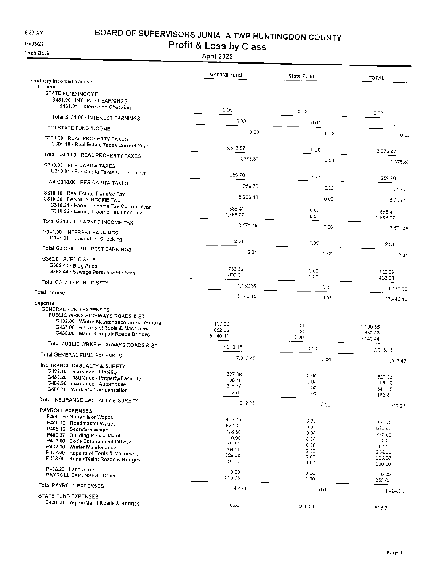8:37 AM

### BOARD OF SUPERVISORS JUNIATA TWP HUNTINGDON COUNTY

05/03/22 Cash Basis Profit & Loss by Class

|                                                                                  | General Fund       | State Fund   | <b>TOTAL</b>       |
|----------------------------------------------------------------------------------|--------------------|--------------|--------------------|
| Ordinary Income/Expense<br>Income                                                |                    |              |                    |
| STATE FUND INCOME                                                                |                    |              |                    |
| S431.00 - INTEREST EARNINGS.<br>S431.01 · Interest on Checking                   |                    |              |                    |
| Total S431.00 - INTEREST EARNINGS.                                               | e oa               | 0.03         | 0.03               |
| Total STATE FUND INCOME                                                          | 0.00               | 0.03         | 0.03               |
|                                                                                  | 000                | 0.03         | 0.03               |
| G301.00 · REAL PROPERTY TAXES<br>G301.10 · Real Estate Taxes Current Year        |                    |              |                    |
| Total G301.00 - REAL PROPERTY TAXES                                              | 3,376.87           | 0.00         | 3,376.87           |
| G310.00 - PER CAPITA TAXES                                                       | 3,376.87           | 0.00         | 3 376.67           |
| G310.01 - Per Capita Taxes Current Year                                          | 259.70             | 0.00.        |                    |
| Total G310.00 - PER CAPITA TAXES                                                 | 259.70             |              | 259.70             |
| G310.10 · Real Estate Transfer Tax                                               |                    | 5.00         | 259.70             |
| G310.20 - EARNED INCOME TAX<br>G310.21 - Earned Income Tax Current Year          | 6 203.40           | 0.05         | 6 203.40           |
| G310.22 · Earned Income Tax Prior Year                                           | 565.41<br>1,886.07 | 0.00         | 585.41             |
| Total G310.20 · EARNED INCOME TAX                                                | 2.471.48           | 0.00         | 1886.07            |
| G341.00 - INTEREST EARNINGS                                                      |                    | p.co         | 2471.48            |
| G341.01 · Interest on Checking                                                   | 231                | 0.00         | 2.31               |
| Total G341.00 - INTEREST EARNINGS                                                | 2.31               | 0.00         |                    |
| G362.0 - PUBLIC SFTY                                                             |                    |              | 2.31               |
| G362.41 Bldg Pmts<br>G362.44 · Sewage Permits/SEO Fees                           | 732.39             | 0.00         | 732.39             |
| Total G362.0 - PUBLIC SFTY                                                       | 400.00             | 0.00         | 400.00             |
| Total Income                                                                     | 1,132.39           | 0.00         | 1,132.39           |
| Expense                                                                          | 13,446,15          | 0.03         | 13,446.18          |
| <b>GENERAL FUND EXPENSES</b>                                                     |                    |              |                    |
| PUBLIC WRKS HIGHWAYS ROADS & ST<br>G432.00 · Winter Maintenance-Snow Removal     | 1,190.65           |              |                    |
| G437.00 · Repairs of Tools & Machinery<br>G438.00 · Maint & Repair Roads Bridges | 682.36             | 0.00<br>0.CG | 1.190.65<br>662.36 |
|                                                                                  | 5 140.44           | 0.00         | 5,140.44           |
| Total PUBLIC WRKS HIGHWAYS ROADS & ST                                            | 7,013.45           | 0.00         | 7,013.45           |
| Total GENERAL FUND EXPENSES                                                      | 7.013.45           | 0.0a         | 7,013.45           |
| INSURANCE CASUALTY & SURETY<br>G486.10 · Insurance - Liability                   |                    |              |                    |
| G486.20 Insurance - Property/Casualty                                            | 327.08<br>68.15    | 0.00<br>0.00 | 327.08<br>69.18    |
| G486.30 · Insurance - Automobile<br>G486.70 · Worker's Compensation              | 341,18<br>182.81   | 0.00         | 341.18             |
| Total INSURANCE CASUALTY & SURETY                                                |                    | 0.00         | 182.81             |
| PAYROLL EXPENSES                                                                 | 919,25             | 0.00         | 919.25             |
| P400.05 · Supervisor Wages                                                       | 468.75             | 0.00         |                    |
| P400.12 · Roadmaster Wages<br>P405.10 · Secretary Wages                          | 572.00             | 0.00         | 468.75<br>672.00   |
| P409.37 Building Repair/Maint                                                    | 773.50             | D.OC         | 773.50             |
| P413.00 · Code Enforcement Officer                                               | 0.00.<br>67.50     | 0.00         | 0.00               |
| P432.00 Winter Maintenance                                                       | 264 00             | 0.00         | 6750               |
| P437.00 · Repairs of Tools & Machinery                                           | 229.00             | S.OC<br>G.OQ | 264.00             |
| P438.00 · Repair/Maint Roads & Bridges                                           | 1 600.00           | 0,00         | 229.00<br>1.600.00 |
| P438.20 Land Slide                                                               | 0.00               | 0.00         |                    |
| PAYROLL EXPENSES - Other                                                         | 350.03             | 0.00         | 0.00<br>350.03     |
| Total PAYROLL EXPENSES                                                           | 4.424.78           | 0 00         | 4,424.75           |
| STATE FUND EXPENSES                                                              |                    |              |                    |
| S438.00 · Repair/Maint Roads & Bridges                                           | C.OG               | 659.34       | 658.34             |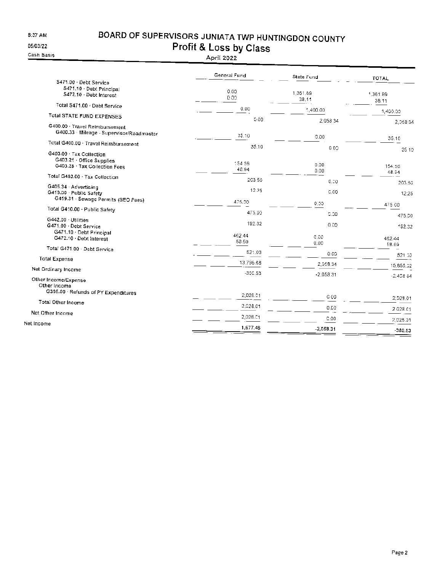$8:37$  AM

### BOARD OF SUPERVISORS JUNIATA TWP HUNTINGDON COUNTY Profit & Loss by Class

05/03/22 Cash Basis

|                                                                                        | General Fund    | State Fund           | TOTAL             |
|----------------------------------------------------------------------------------------|-----------------|----------------------|-------------------|
| S471.00 · Debt Service<br>S471.10 · Debt Principal<br>S472.10 · Debt Interest          | 0.00<br>0.00    | 1,361.89<br>38.11    | 1,361.89<br>36.11 |
| Total S471.00 · Debt Service                                                           | 0.00            | 1,400.00             | 1,400.00          |
| <b>Total STATE FUND EXPENSES</b>                                                       | 0.00            | 2,058 34             |                   |
| G400.00 · Travel Reimbursement<br>G400.33 Mileage - Supervisor/Roadmaster              | 35,10           | 0.00                 | 2,058.34<br>35.10 |
| Total G400.00 · Travel Reimbursement                                                   | 35.10           |                      |                   |
| G403.00 · Tax Collection<br>G403.21 . Office Supplies<br>G403.28 · Tax Collection Fees | 154.56<br>48.94 | 000<br>0.00.<br>0.00 | 35 10<br>154.56   |
| Total G403.00 · Tax Collection                                                         | 203.50          | 0.00                 | 48.94             |
| G405.34 Advertising<br>G410.00 - Public Safety                                         | 12.25           | 0.00                 | 203.50<br>12.25   |
| G419.31 Sewage Permits (SEO Fees)                                                      | 475,00          | 0.00                 | 475 GO            |
| Total G410.00 . Public Safety                                                          | 475.00          | 5.00                 | 475.00            |
| G442.00 Utilities<br>G471.00 · Debt Service                                            | 192.32          | 0.00                 | 192.32            |
| G471.10 · Debt Principal<br>G472.10 · Debt Interest                                    | 462.44<br>58.59 | 0.00<br>0.00         | 462.44<br>58.69   |
| Total G471.00 - Debt Service                                                           | 521.03          | 0.00                 | 521.03            |
| <b>Total Expense</b>                                                                   | 13 796.68       | 2,058.34             | 15,855,02         |
| Net Ordinary Income                                                                    | $-350.53$       | $-2,053.31$          |                   |
| Other Income/Expense<br>Other Income                                                   |                 |                      | $-2.40864$        |
| G395.00 Refunds of PY Expenditures                                                     | 2,028.01        | $C$ $OO$             | 2,029.01          |
| Total Other Income                                                                     | 2,028.01        | 0.00                 | 2 028.01          |
| Net Other Income                                                                       | 2,028.01        | 0.00                 | 2,029.01          |
| Net income                                                                             | 1,677.48        | $-2,058.31$          | $-380.83$         |